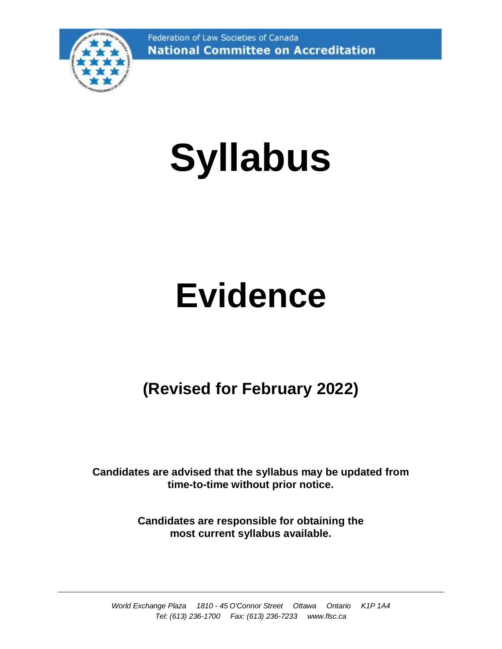Federation of Law Societies of Canada **National Committee on Accreditation** 



# **Syllabus**

## **Evidence**

### **(Revised for February 2022)**

**Candidates are advised that the syllabus may be updated from time-to-time without prior notice.**

> **Candidates are responsible for obtaining the most current syllabus available.**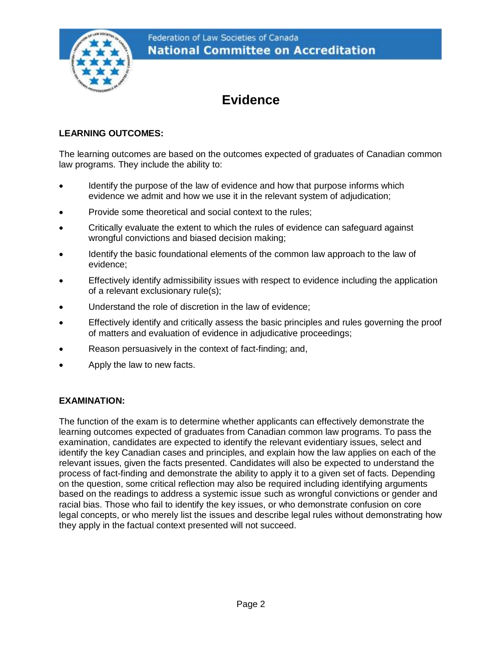

### **Evidence**

#### **LEARNING OUTCOMES:**

The learning outcomes are based on the outcomes expected of graduates of Canadian common law programs. They include the ability to:

- Identify the purpose of the law of evidence and how that purpose informs which evidence we admit and how we use it in the relevant system of adjudication;
- Provide some theoretical and social context to the rules;
- Critically evaluate the extent to which the rules of evidence can safeguard against wrongful convictions and biased decision making;
- Identify the basic foundational elements of the common law approach to the law of evidence;
- Effectively identify admissibility issues with respect to evidence including the application of a relevant exclusionary rule(s);
- Understand the role of discretion in the law of evidence;
- Effectively identify and critically assess the basic principles and rules governing the proof of matters and evaluation of evidence in adjudicative proceedings;
- Reason persuasively in the context of fact-finding; and,
- Apply the law to new facts.

#### **EXAMINATION:**

The function of the exam is to determine whether applicants can effectively demonstrate the learning outcomes expected of graduates from Canadian common law programs. To pass the examination, candidates are expected to identify the relevant evidentiary issues, select and identify the key Canadian cases and principles, and explain how the law applies on each of the relevant issues, given the facts presented. Candidates will also be expected to understand the process of fact-finding and demonstrate the ability to apply it to a given set of facts. Depending on the question, some critical reflection may also be required including identifying arguments based on the readings to address a systemic issue such as wrongful convictions or gender and racial bias. Those who fail to identify the key issues, or who demonstrate confusion on core legal concepts, or who merely list the issues and describe legal rules without demonstrating how they apply in the factual context presented will not succeed.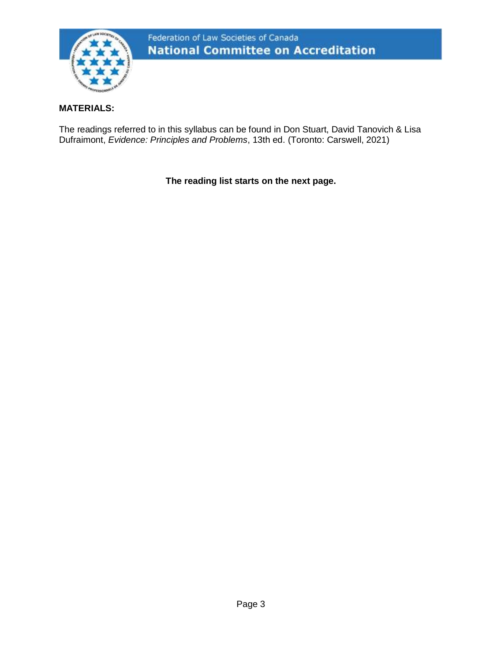

#### **MATERIALS:**

The readings referred to in this syllabus can be found in Don Stuart, David Tanovich & Lisa Dufraimont, *Evidence: Principles and Problems*, 13th ed. (Toronto: Carswell, 2021)

**The reading list starts on the next page.**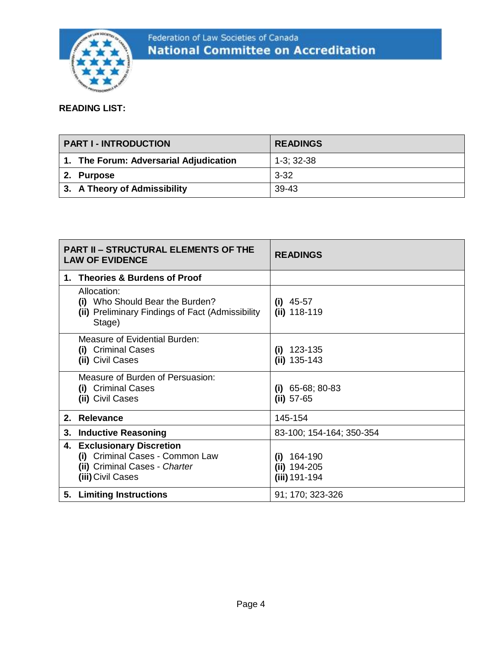

#### **READING LIST:**

| PART I - INTRODUCTION                  | <b>READINGS</b> |
|----------------------------------------|-----------------|
| 1. The Forum: Adversarial Adjudication | $1-3:32-38$     |
| 2. Purpose                             | $3 - 32$        |
| 3. A Theory of Admissibility           | 39-43           |

| <b>PART II - STRUCTURAL ELEMENTS OF THE</b><br><b>LAW OF EVIDENCE</b> |                                                                                                                     | <b>READINGS</b>                                  |
|-----------------------------------------------------------------------|---------------------------------------------------------------------------------------------------------------------|--------------------------------------------------|
|                                                                       | 1. Theories & Burdens of Proof                                                                                      |                                                  |
|                                                                       | Allocation:<br>(i) Who Should Bear the Burden?<br>(ii) Preliminary Findings of Fact (Admissibility<br>Stage)        | $(i)$ 45-57<br>$(ii)$ 118-119                    |
|                                                                       | Measure of Evidential Burden:<br>(i) Criminal Cases<br>(ii) Civil Cases                                             | $(i)$ 123-135<br>$(ii) 135-143$                  |
|                                                                       | Measure of Burden of Persuasion:<br>(i) Criminal Cases<br>(ii) Civil Cases                                          | $(i)$ 65-68; 80-83<br>$(ii) 57-65$               |
|                                                                       | 2. Relevance                                                                                                        | 145-154                                          |
| 3.                                                                    | <b>Inductive Reasoning</b>                                                                                          | 83-100; 154-164; 350-354                         |
|                                                                       | 4. Exclusionary Discretion<br>(i) Criminal Cases - Common Law<br>(ii) Criminal Cases - Charter<br>(iii) Civil Cases | $(i)$ 164-190<br>$(ii) 194-205$<br>(iii) 191-194 |
|                                                                       | 5. Limiting Instructions                                                                                            | 91; 170; 323-326                                 |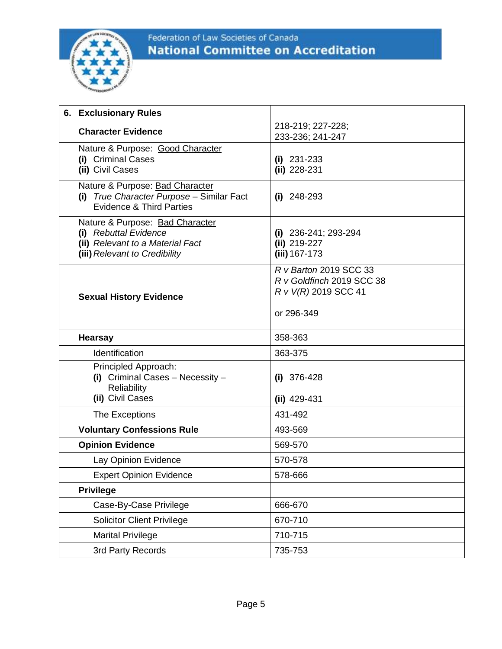

#### Federation of Law Societies of Canada **National Committee on Accreditation**

| 6. Exclusionary Rules                                                                                                         |                                                                                           |
|-------------------------------------------------------------------------------------------------------------------------------|-------------------------------------------------------------------------------------------|
| <b>Character Evidence</b>                                                                                                     | 218-219; 227-228;<br>233-236; 241-247                                                     |
| Nature & Purpose: Good Character<br>(i) Criminal Cases<br>(ii) Civil Cases                                                    | $(i)$ 231-233<br>(ii) 228-231                                                             |
| Nature & Purpose: Bad Character<br>(i) True Character Purpose - Similar Fact<br><b>Evidence &amp; Third Parties</b>           | $(i)$ 248-293                                                                             |
| Nature & Purpose: Bad Character<br>(i) Rebuttal Evidence<br>(ii) Relevant to a Material Fact<br>(iii) Relevant to Credibility | (i) $236 - 241$ ; $293 - 294$<br>(ii) 219-227<br>(iii) 167-173                            |
| <b>Sexual History Evidence</b>                                                                                                | R v Barton 2019 SCC 33<br>R v Goldfinch 2019 SCC 38<br>R v V(R) 2019 SCC 41<br>or 296-349 |
| <b>Hearsay</b>                                                                                                                | 358-363                                                                                   |
| Identification                                                                                                                | 363-375                                                                                   |
| Principled Approach:<br>(i) Criminal Cases - Necessity -<br>Reliability<br>(ii) Civil Cases                                   | $(i)$ 376-428<br>$(iii)$ 429-431                                                          |
| The Exceptions                                                                                                                | 431-492                                                                                   |
| <b>Voluntary Confessions Rule</b>                                                                                             | 493-569                                                                                   |
| <b>Opinion Evidence</b>                                                                                                       | 569-570                                                                                   |
| Lay Opinion Evidence                                                                                                          | 570-578                                                                                   |
| <b>Expert Opinion Evidence</b>                                                                                                | 578-666                                                                                   |
| <b>Privilege</b>                                                                                                              |                                                                                           |
| Case-By-Case Privilege                                                                                                        | 666-670                                                                                   |
| <b>Solicitor Client Privilege</b>                                                                                             | 670-710                                                                                   |
| <b>Marital Privilege</b>                                                                                                      | 710-715                                                                                   |
| 3rd Party Records                                                                                                             | 735-753                                                                                   |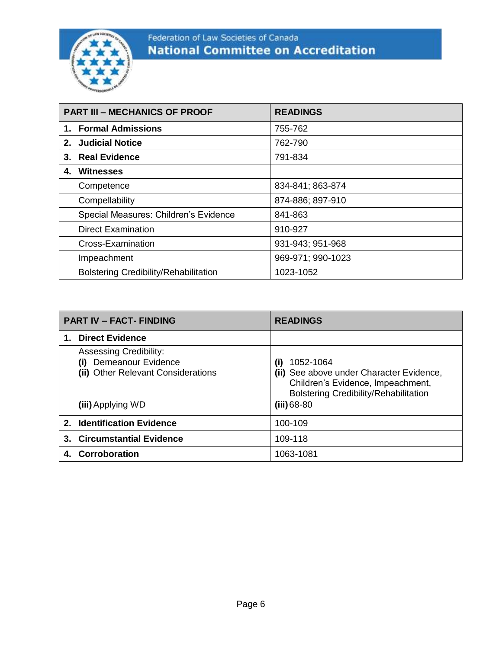

#### Federation of Law Societies of Canada **National Committee on Accreditation**

| <b>PART III - MECHANICS OF PROOF</b> |                                              | <b>READINGS</b>   |
|--------------------------------------|----------------------------------------------|-------------------|
|                                      | 1. Formal Admissions                         | 755-762           |
|                                      | 2. Judicial Notice                           | 762-790           |
|                                      | 3. Real Evidence                             | 791-834           |
|                                      | 4. Witnesses                                 |                   |
|                                      | Competence                                   | 834-841; 863-874  |
|                                      | Compellability                               | 874-886; 897-910  |
|                                      | Special Measures: Children's Evidence        | 841-863           |
|                                      | <b>Direct Examination</b>                    | 910-927           |
|                                      | Cross-Examination                            | 931-943; 951-968  |
|                                      | Impeachment                                  | 969-971; 990-1023 |
|                                      | <b>Bolstering Credibility/Rehabilitation</b> | 1023-1052         |

| <b>PART IV - FACT- FINDING</b> |                                                                                                                       | <b>READINGS</b>                                                                                                                                                             |
|--------------------------------|-----------------------------------------------------------------------------------------------------------------------|-----------------------------------------------------------------------------------------------------------------------------------------------------------------------------|
|                                | <b>Direct Evidence</b>                                                                                                |                                                                                                                                                                             |
|                                | <b>Assessing Credibility:</b><br>Demeanour Evidence<br>(i)<br>(ii) Other Relevant Considerations<br>(iii) Applying WD | 1052-1064<br>$\mathbf{u}$<br>(ii) See above under Character Evidence,<br>Children's Evidence, Impeachment,<br><b>Bolstering Credibility/Rehabilitation</b><br>$(iii) 68-80$ |
|                                | 2. Identification Evidence                                                                                            | 100-109                                                                                                                                                                     |
|                                | 3. Circumstantial Evidence                                                                                            | 109-118                                                                                                                                                                     |
|                                | 4. Corroboration                                                                                                      | 1063-1081                                                                                                                                                                   |